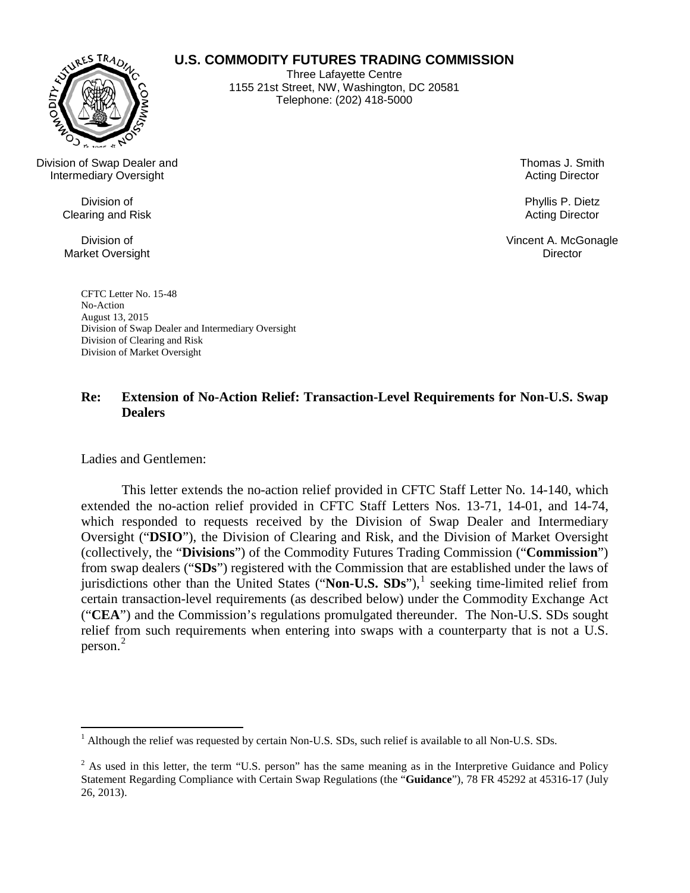

**U.S. COMMODITY FUTURES TRADING COMMISSION**

Three Lafayette Centre 1155 21st Street, NW, Washington, DC 20581 Telephone: (202) 418-5000

Division of Swap Dealer and Intermediary Oversight

> Division of Clearing and Risk

Division of Market Oversight Thomas J. Smith Acting Director

Phyllis P. Dietz Acting Director

Vincent A. McGonagle **Director** 

CFTC Letter No. 15-48 No-Action August 13, 2015 Division of Swap Dealer and Intermediary Oversight Division of Clearing and Risk Division of Market Oversight

# **Re: Extension of No-Action Relief: Transaction-Level Requirements for Non-U.S. Swap Dealers**

Ladies and Gentlemen:

This letter extends the no-action relief provided in CFTC Staff Letter No. 14-140, which extended the no-action relief provided in CFTC Staff Letters Nos. 13-71, 14-01, and 14-74, which responded to requests received by the Division of Swap Dealer and Intermediary Oversight ("**DSIO**"), the Division of Clearing and Risk, and the Division of Market Oversight (collectively, the "**Divisions**") of the Commodity Futures Trading Commission ("**Commission**") from swap dealers ("**SDs**") registered with the Commission that are established under the laws of jurisdictions other than the United States ("**Non-U.S.**  $SDs$ "),<sup>[1](#page-0-0)</sup> seeking time-limited relief from certain transaction-level requirements (as described below) under the Commodity Exchange Act ("**CEA**") and the Commission's regulations promulgated thereunder. The Non-U.S. SDs sought relief from such requirements when entering into swaps with a counterparty that is not a U.S. person. [2](#page-0-1)

<span id="page-0-0"></span><sup>&</sup>lt;sup>1</sup> Although the relief was requested by certain Non-U.S. SDs, such relief is available to all Non-U.S. SDs.

<span id="page-0-1"></span> $2$  As used in this letter, the term "U.S. person" has the same meaning as in the Interpretive Guidance and Policy Statement Regarding Compliance with Certain Swap Regulations (the "**Guidance**"), 78 FR 45292 at 45316-17 (July 26, 2013).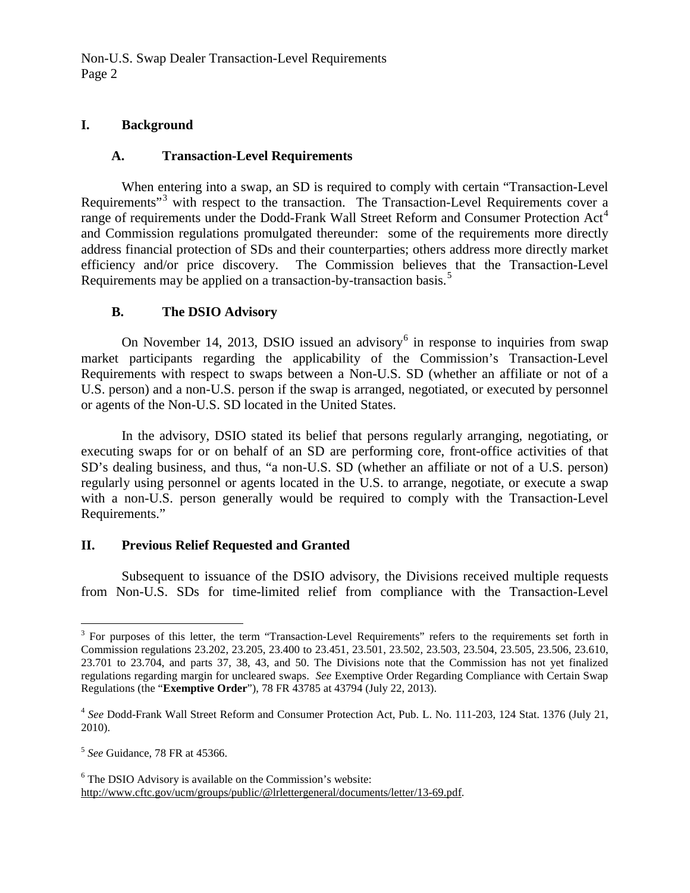Non-U.S. Swap Dealer Transaction-Level Requirements Page 2

#### **I. Background**

### **A. Transaction-Level Requirements**

When entering into a swap, an SD is required to comply with certain "Transaction-Level Requirements<sup>"[3](#page-1-0)</sup> with respect to the transaction. The Transaction-Level Requirements cover a range of requirements under the Dodd-Frank Wall Street Reform and Consumer Protection Act<sup>[4](#page-1-1)</sup> and Commission regulations promulgated thereunder: some of the requirements more directly address financial protection of SDs and their counterparties; others address more directly market efficiency and/or price discovery. The Commission believes that the Transaction-Level Requirements may be applied on a transaction-by-transaction basis.<sup>[5](#page-1-2)</sup>

## **B. The DSIO Advisory**

On November 14, 2013, DSIO issued an advisory  $6$  in response to inquiries from swap market participants regarding the applicability of the Commission's Transaction-Level Requirements with respect to swaps between a Non-U.S. SD (whether an affiliate or not of a U.S. person) and a non-U.S. person if the swap is arranged, negotiated, or executed by personnel or agents of the Non-U.S. SD located in the United States.

In the advisory, DSIO stated its belief that persons regularly arranging, negotiating, or executing swaps for or on behalf of an SD are performing core, front-office activities of that SD's dealing business, and thus, "a non-U.S. SD (whether an affiliate or not of a U.S. person) regularly using personnel or agents located in the U.S. to arrange, negotiate, or execute a swap with a non-U.S. person generally would be required to comply with the Transaction-Level Requirements."

#### **II. Previous Relief Requested and Granted**

Subsequent to issuance of the DSIO advisory, the Divisions received multiple requests from Non-U.S. SDs for time-limited relief from compliance with the Transaction-Level

<span id="page-1-0"></span> $3$  For purposes of this letter, the term "Transaction-Level Requirements" refers to the requirements set forth in Commission regulations 23.202, 23.205, 23.400 to 23.451, 23.501, 23.502, 23.503, 23.504, 23.505, 23.506, 23.610, 23.701 to 23.704, and parts 37, 38, 43, and 50. The Divisions note that the Commission has not yet finalized regulations regarding margin for uncleared swaps. *See* Exemptive Order Regarding Compliance with Certain Swap Regulations (the "**Exemptive Order**"), 78 FR 43785 at 43794 (July 22, 2013).

<span id="page-1-1"></span><sup>4</sup> *See* Dodd-Frank Wall Street Reform and Consumer Protection Act, Pub. L. No. 111-203, 124 Stat. 1376 (July 21, 2010).

<span id="page-1-2"></span><sup>5</sup> *See* Guidance, 78 FR at 45366.

<span id="page-1-3"></span> $6$  The DSIO Advisory is available on the Commission's website: http://www.cftc.gov/ucm/groups/public/@lrlettergeneral/documents/letter/13-69.pdf.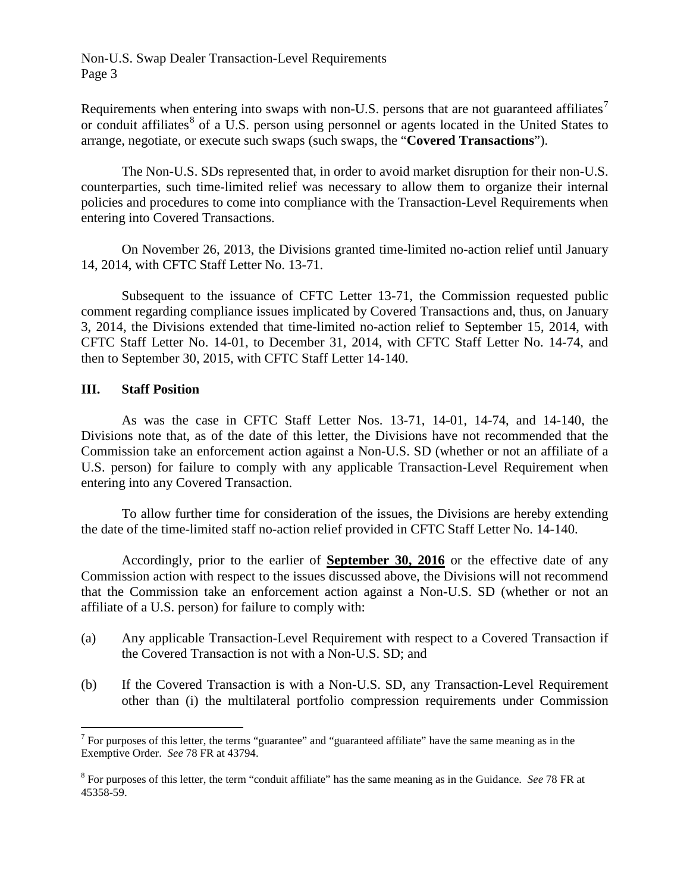Requirements when entering into swaps with non-U.S. persons that are not guaranteed affiliates<sup>[7](#page-2-0)</sup> or conduit affiliates<sup>[8](#page-2-1)</sup> of a U.S. person using personnel or agents located in the United States to arrange, negotiate, or execute such swaps (such swaps, the "**Covered Transactions**").

The Non-U.S. SDs represented that, in order to avoid market disruption for their non-U.S. counterparties, such time-limited relief was necessary to allow them to organize their internal policies and procedures to come into compliance with the Transaction-Level Requirements when entering into Covered Transactions.

On November 26, 2013, the Divisions granted time-limited no-action relief until January 14, 2014, with CFTC Staff Letter No. 13-71.

Subsequent to the issuance of CFTC Letter 13-71, the Commission requested public comment regarding compliance issues implicated by Covered Transactions and, thus, on January 3, 2014, the Divisions extended that time-limited no-action relief to September 15, 2014, with CFTC Staff Letter No. 14-01, to December 31, 2014, with CFTC Staff Letter No. 14-74, and then to September 30, 2015, with CFTC Staff Letter 14-140.

## **III. Staff Position**

As was the case in CFTC Staff Letter Nos. 13-71, 14-01, 14-74, and 14-140, the Divisions note that, as of the date of this letter, the Divisions have not recommended that the Commission take an enforcement action against a Non-U.S. SD (whether or not an affiliate of a U.S. person) for failure to comply with any applicable Transaction-Level Requirement when entering into any Covered Transaction.

To allow further time for consideration of the issues, the Divisions are hereby extending the date of the time-limited staff no-action relief provided in CFTC Staff Letter No. 14-140.

Accordingly, prior to the earlier of **September 30, 2016** or the effective date of any Commission action with respect to the issues discussed above, the Divisions will not recommend that the Commission take an enforcement action against a Non-U.S. SD (whether or not an affiliate of a U.S. person) for failure to comply with:

- (a) Any applicable Transaction-Level Requirement with respect to a Covered Transaction if the Covered Transaction is not with a Non-U.S. SD; and
- (b) If the Covered Transaction is with a Non-U.S. SD, any Transaction-Level Requirement other than (i) the multilateral portfolio compression requirements under Commission

<span id="page-2-0"></span><sup>&</sup>lt;sup>7</sup> For purposes of this letter, the terms "guarantee" and "guaranteed affiliate" have the same meaning as in the Exemptive Order. *See* 78 FR at 43794.

<span id="page-2-1"></span><sup>8</sup> For purposes of this letter, the term "conduit affiliate" has the same meaning as in the Guidance. *See* 78 FR at 45358-59.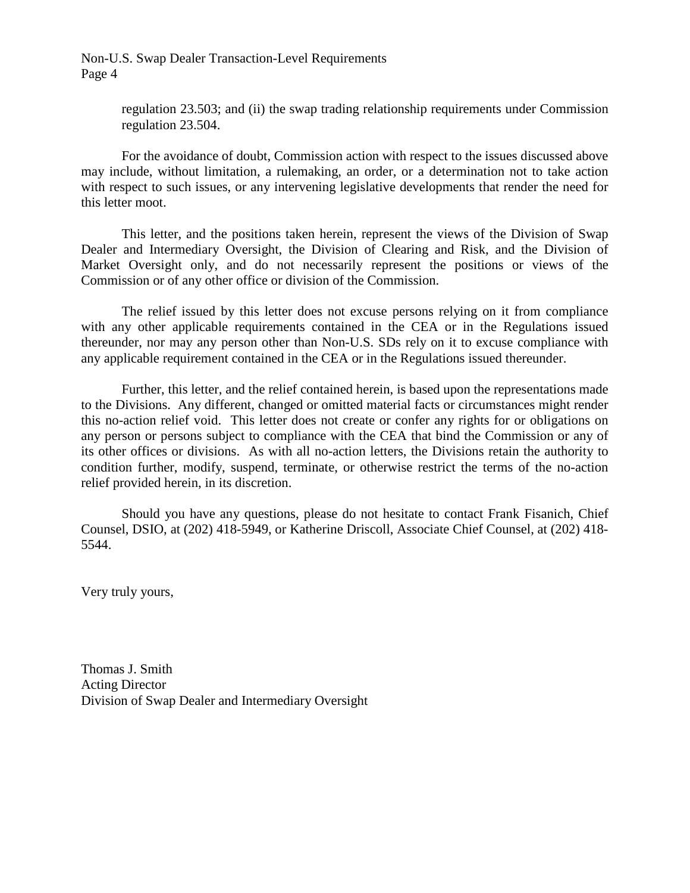Non-U.S. Swap Dealer Transaction-Level Requirements Page 4

> regulation 23.503; and (ii) the swap trading relationship requirements under Commission regulation 23.504.

For the avoidance of doubt, Commission action with respect to the issues discussed above may include, without limitation, a rulemaking, an order, or a determination not to take action with respect to such issues, or any intervening legislative developments that render the need for this letter moot.

This letter, and the positions taken herein, represent the views of the Division of Swap Dealer and Intermediary Oversight, the Division of Clearing and Risk, and the Division of Market Oversight only, and do not necessarily represent the positions or views of the Commission or of any other office or division of the Commission.

The relief issued by this letter does not excuse persons relying on it from compliance with any other applicable requirements contained in the CEA or in the Regulations issued thereunder, nor may any person other than Non-U.S. SDs rely on it to excuse compliance with any applicable requirement contained in the CEA or in the Regulations issued thereunder.

Further, this letter, and the relief contained herein, is based upon the representations made to the Divisions. Any different, changed or omitted material facts or circumstances might render this no-action relief void. This letter does not create or confer any rights for or obligations on any person or persons subject to compliance with the CEA that bind the Commission or any of its other offices or divisions. As with all no-action letters, the Divisions retain the authority to condition further, modify, suspend, terminate, or otherwise restrict the terms of the no-action relief provided herein, in its discretion.

Should you have any questions, please do not hesitate to contact Frank Fisanich, Chief Counsel, DSIO, at (202) 418-5949, or Katherine Driscoll, Associate Chief Counsel, at (202) 418- 5544.

Very truly yours,

Thomas J. Smith Acting Director Division of Swap Dealer and Intermediary Oversight